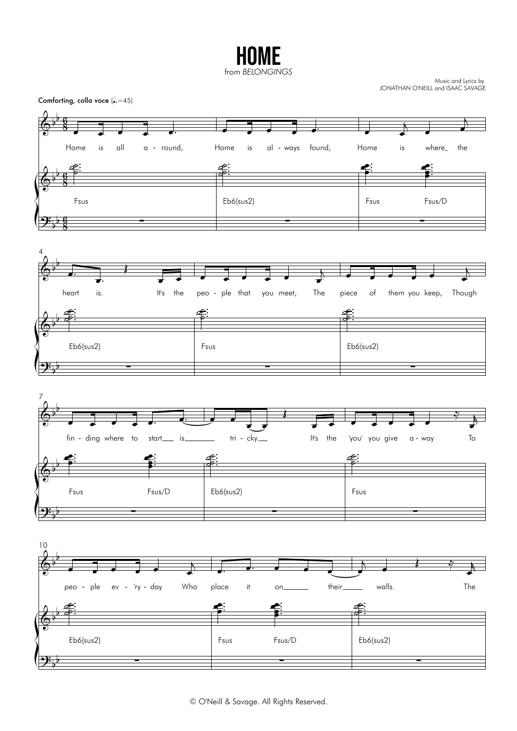HOME from *BELONGINGS*

Music and Lyrics by JONATHAN O'NEILL and ISAAC SAVAGE

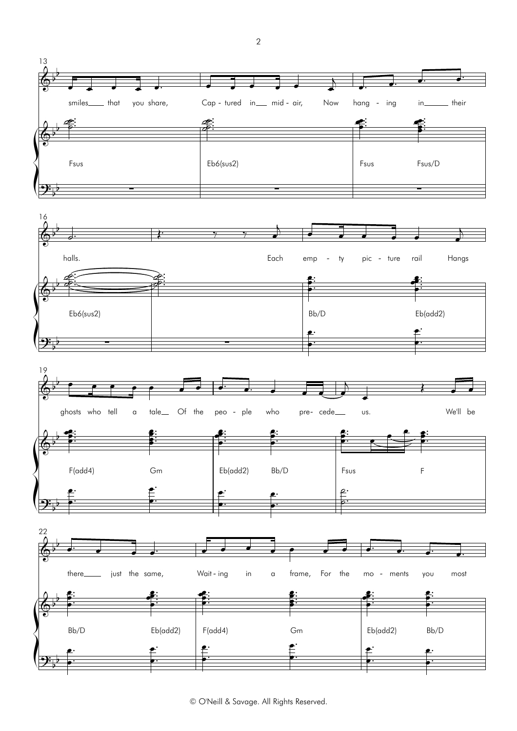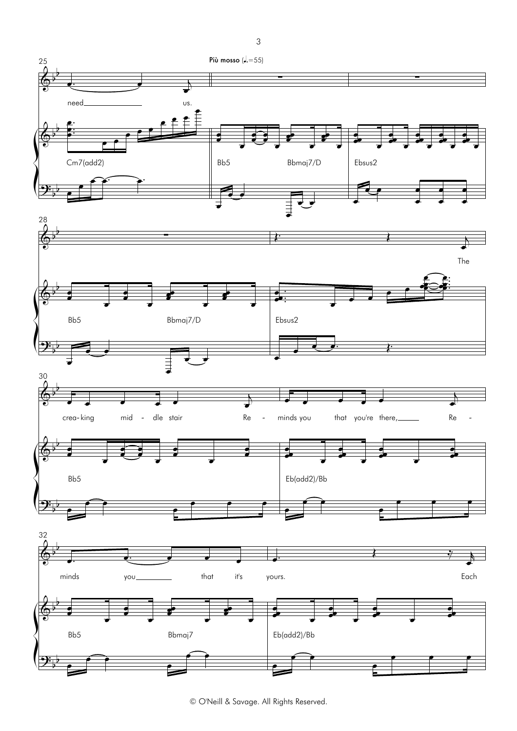

3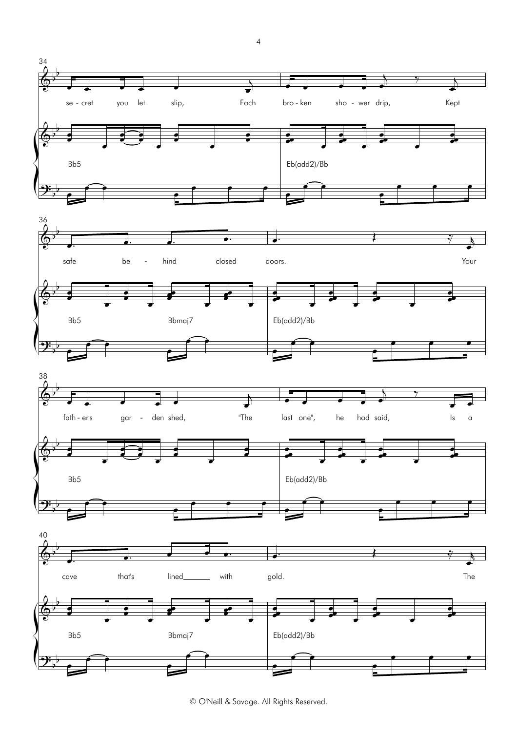

<sup>©</sup> O'Neill & Savage. All Rights Reserved.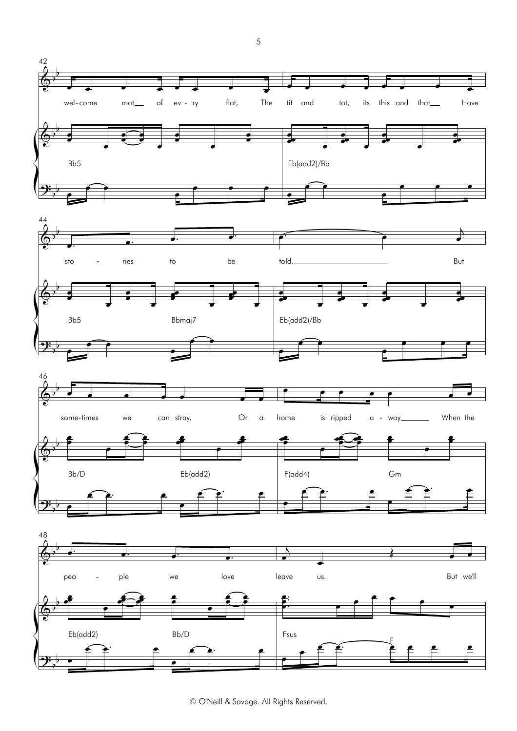





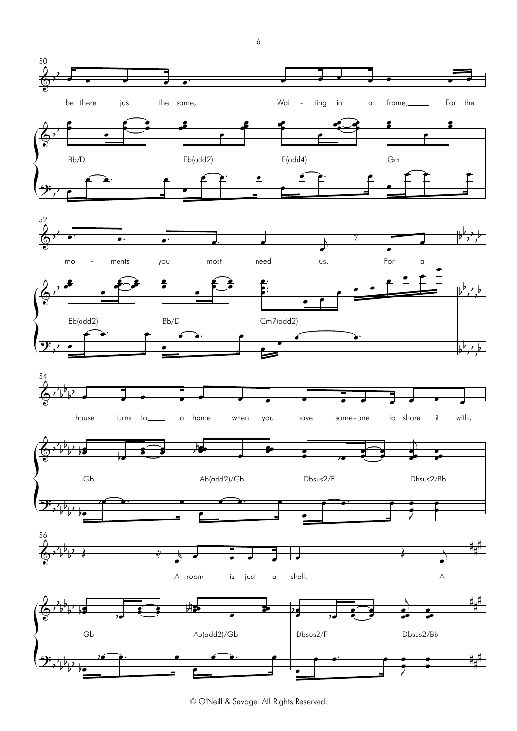





© O'Neill & Savage. All Rights Reserved.

6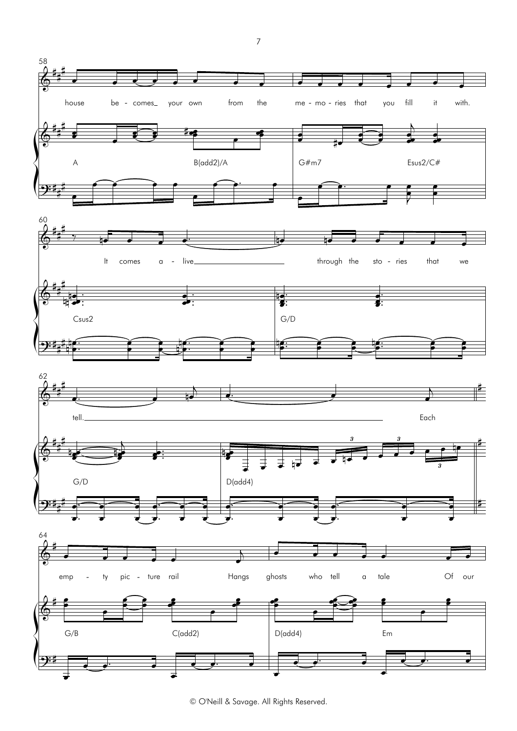

<sup>©</sup> O'Neill & Savage. All Rights Reserved.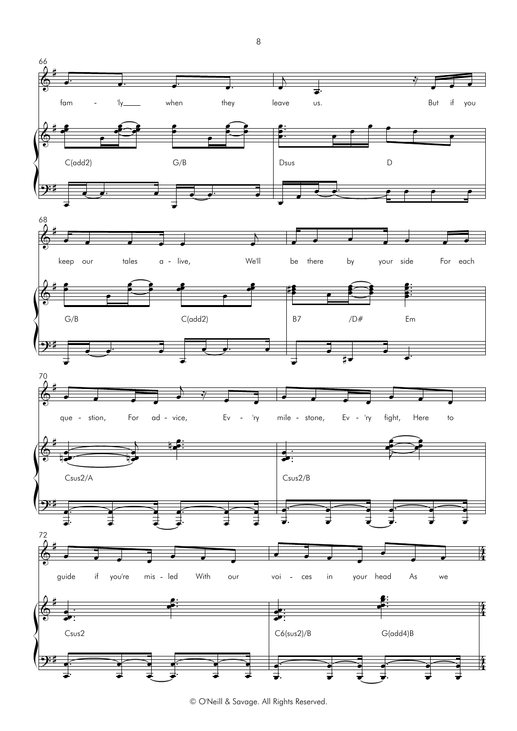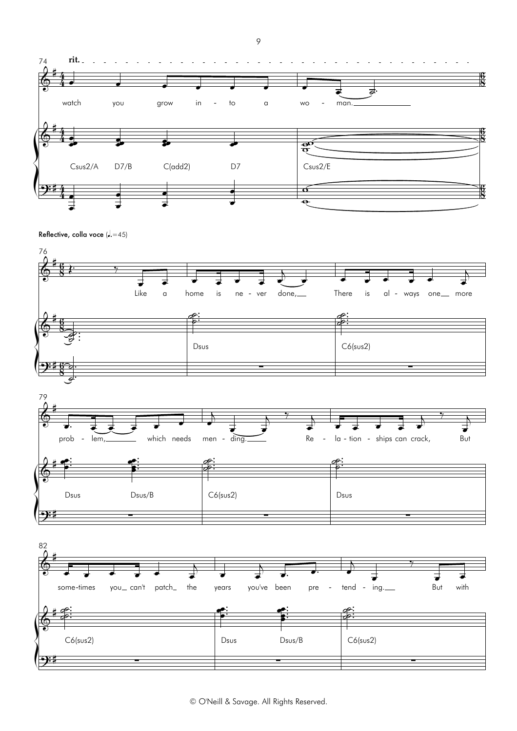